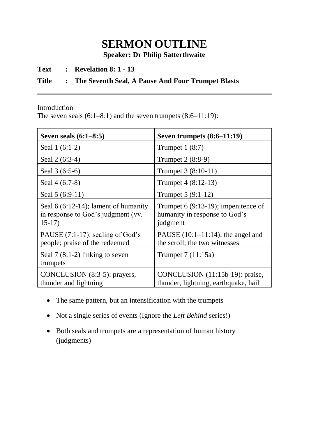## **SERMON OUTLINE**

**Speaker: Dr Philip Satterthwaite**

**Text : Revelation 8: 1 - 13**

## **Title : The Seventh Seal, A Pause And Four Trumpet Blasts**

Introduction

The seven seals  $(6:1-8:1)$  and the seven trumpets  $(8:6-11:19)$ :

| Seven seals $(6:1-8:5)$                                                                 | Seven trumpets $(8:6-11:19)$                                                       |
|-----------------------------------------------------------------------------------------|------------------------------------------------------------------------------------|
| Seal 1 (6:1-2)                                                                          | Trumpet $1(8:7)$                                                                   |
| Seal 2 (6:3-4)                                                                          | Trumpet 2 (8:8-9)                                                                  |
| Seal 3 (6:5-6)                                                                          | Trumpet 3 (8:10-11)                                                                |
| Seal 4 (6:7-8)                                                                          | Trumpet 4 (8:12-13)                                                                |
| Seal 5 (6:9-11)                                                                         | Trumpet 5 (9:1-12)                                                                 |
| Seal $6(6:12-14)$ ; lament of humanity<br>in response to God's judgment (vv.<br>$15-17$ | Trumpet $6(9:13-19)$ ; impenitence of<br>humanity in response to God's<br>judgment |
| PAUSE $(7:1-17)$ : sealing of God's<br>people; praise of the redeemed                   | PAUSE $(10:1-11:14)$ : the angel and<br>the scroll; the two witnesses              |
| Seal $7(8:1-2)$ linking to seven<br>trumpets                                            | Trumpet $7(11:15a)$                                                                |
| CONCLUSION (8:3-5): prayers,<br>thunder and lightning                                   | CONCLUSION (11:15b-19): praise,<br>thunder, lightning, earthquake, hail            |

- The same pattern, but an intensification with the trumpets
- Not a single series of events (Ignore the *Left Behind* series!)
- Both seals and trumpets are a representation of human history (judgments)